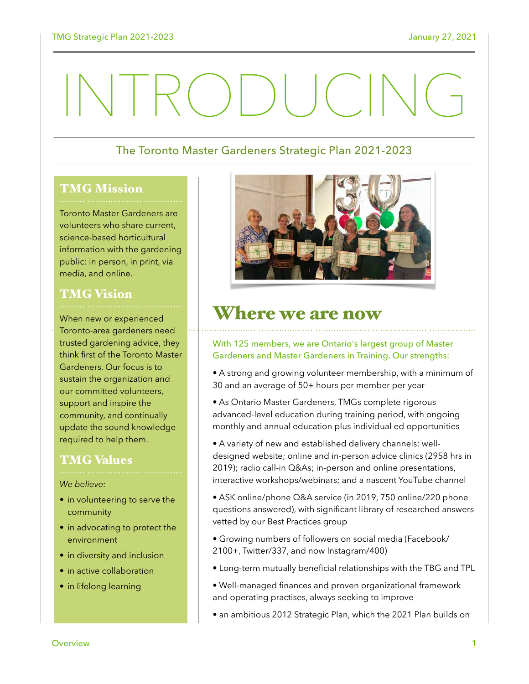# INTRODUCING

## The Toronto Master Gardeners Strategic Plan 2021-2023

#### TMG Mission

Toronto Master Gardeners are volunteers who share current, science-based horticultural information with the gardening public: in person, in print, via media, and online.

# TMG Vision

When new or experienced Toronto-area gardeners need trusted gardening advice, they think first of the Toronto Master Gardeners. Our focus is to sustain the organization and our committed volunteers, support and inspire the community, and continually update the sound knowledge required to help them.

## TMG Values

#### *We believe:*

- in volunteering to serve the community
- in advocating to protect the environment
- in diversity and inclusion
- in active collaboration
- in lifelong learning



## Where we are now

#### With 125 members, we are Ontario's largest group of Master Gardeners and Master Gardeners in Training. Our strengths:

- A strong and growing volunteer membership, with a minimum of 30 and an average of 50+ hours per member per year
- As Ontario Master Gardeners, TMGs complete rigorous advanced-level education during training period, with ongoing monthly and annual education plus individual ed opportunities
- A variety of new and established delivery channels: welldesigned website; online and in-person advice clinics (2958 hrs in 2019); radio call-in Q&As; in-person and online presentations, interactive workshops/webinars; and a nascent YouTube channel
- ASK online/phone Q&A service (in 2019, 750 online/220 phone questions answered), with significant library of researched answers vetted by our Best Practices group
- Growing numbers of followers on social media (Facebook/ 2100+, Twitter/337, and now Instagram/400)
- Long-term mutually beneficial relationships with the TBG and TPL
- Well-managed finances and proven organizational framework and operating practises, always seeking to improve
- an ambitious 2012 Strategic Plan, which the 2021 Plan builds on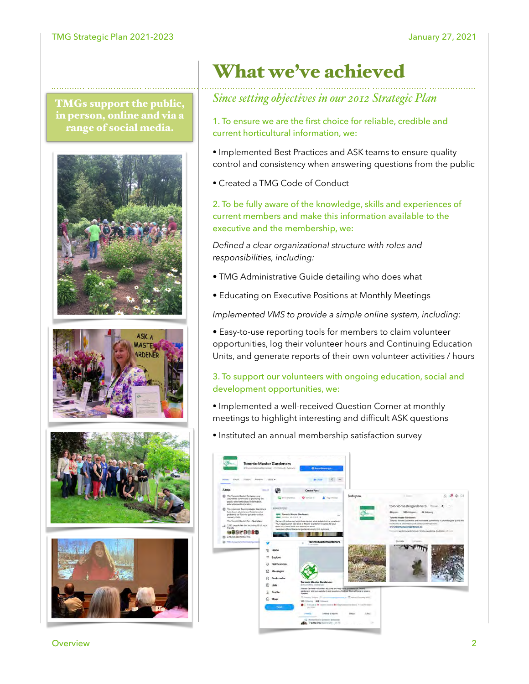TMGs support the public, in person, online and via a range of social media.









# What we've achieved

## *Since setting objectives in our 2012 Strategic Plan*

1. To ensure we are the first choice for reliable, credible and current horticultural information, we:

- Implemented Best Practices and ASK teams to ensure quality control and consistency when answering questions from the public
- Created a TMG Code of Conduct

2. To be fully aware of the knowledge, skills and experiences of current members and make this information available to the executive and the membership, we:

*Defined a clear organizational structure with roles and responsibilities, including:*

- TMG Administrative Guide detailing who does what
- Educating on Executive Positions at Monthly Meetings

*Implemented VMS to provide a simple online system, including:*

• Easy-to-use reporting tools for members to claim volunteer opportunities, log their volunteer hours and Continuing Education Units, and generate reports of their own volunteer activities / hours

#### 3. To support our volunteers with ongoing education, social and development opportunities, we:

- Implemented a well-received Question Corner at monthly meetings to highlight interesting and difficult ASK questions
- Instituted an annual membership satisfaction survey



Overview 2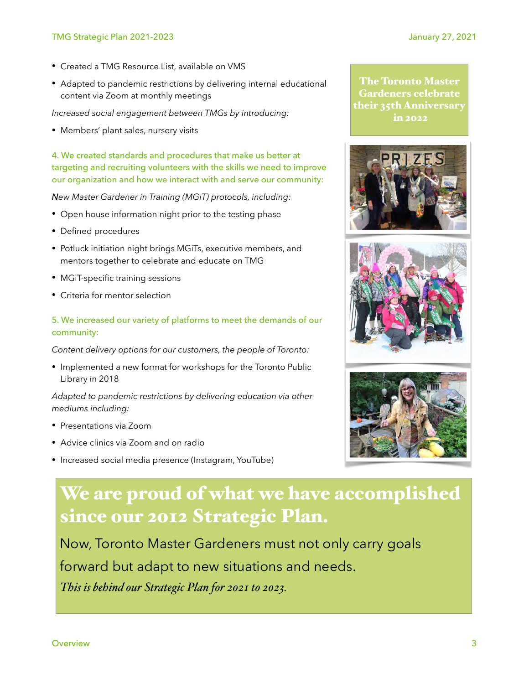- Created a TMG Resource List, available on VMS
- Adapted to pandemic restrictions by delivering internal educational content via Zoom at monthly meetings

*Increased social engagement between TMGs by introducing:* 

• Members' plant sales, nursery visits

4. We created standards and procedures that make us better at targeting and recruiting volunteers with the skills we need to improve our organization and how we interact with and serve our community:

*New Master Gardener in Training (MGiT) protocols, including:*

- Open house information night prior to the testing phase
- Defined procedures
- Potluck initiation night brings MGiTs, executive members, and mentors together to celebrate and educate on TMG
- MGiT-specific training sessions
- Criteria for mentor selection

#### 5. We increased our variety of platforms to meet the demands of our community:

*Content delivery options for our customers, the people of Toronto:* 

• Implemented a new format for workshops for the Toronto Public Library in 2018

*Adapted to pandemic restrictions by delivering education via other mediums including:*

- Presentations via Zoom
- Advice clinics via Zoom and on radio
- Increased social media presence (Instagram, YouTube)









# We are proud of what we have accomplished since our 2012 Strategic Plan.

Now, Toronto Master Gardeners must not only carry goals forward but adapt to new situations and needs. *This is behind our Strategic Plan for 2021 to 2023.*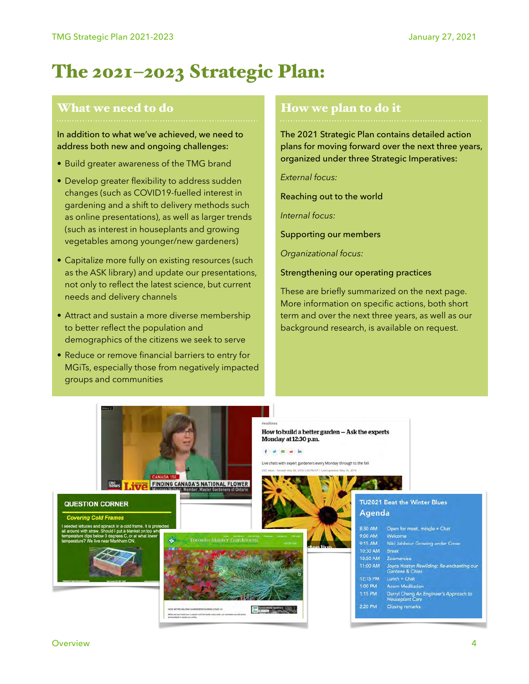# The 2021–2023 Strategic Plan:

#### What we need to do

In addition to what we've achieved, we need to address both new and ongoing challenges:

- Build greater awareness of the TMG brand
- Develop greater flexibility to address sudden changes (such as COVID19-fuelled interest in gardening and a shift to delivery methods such as online presentations), as well as larger trends (such as interest in houseplants and growing vegetables among younger/new gardeners)
- Capitalize more fully on existing resources (such as the ASK library) and update our presentations, not only to reflect the latest science, but current needs and delivery channels
- Attract and sustain a more diverse membership to better reflect the population and demographics of the citizens we seek to serve
- Reduce or remove financial barriers to entry for MGiTs, especially those from negatively impacted groups and communities

#### How we plan to do it

The 2021 Strategic Plan contains detailed action plans for moving forward over the next three years, organized under three Strategic Imperatives:

*External focus:*

Reaching out to the world

*Internal focus:* 

Supporting our members

*Organizational focus:* 

Strengthening our operating practices

These are briefly summarized on the next page. More information on specific actions, both short term and over the next three years, as well as our background research, is available on request.

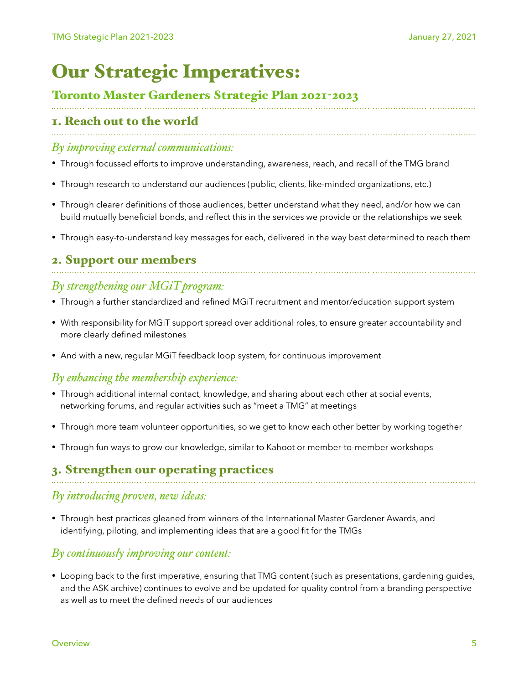# Our Strategic Imperatives:

## Toronto Master Gardeners Strategic Plan 2021-2023

# 1. Reach out to the world

#### *By improving external communications:*

- Through focussed efforts to improve understanding, awareness, reach, and recall of the TMG brand
- Through research to understand our audiences (public, clients, like-minded organizations, etc.)
- Through clearer definitions of those audiences, better understand what they need, and/or how we can build mutually beneficial bonds, and reflect this in the services we provide or the relationships we seek
- Through easy-to-understand key messages for each, delivered in the way best determined to reach them

# 2. Support our members

## *By strengthening our MGiT program:*

- Through a further standardized and refined MGiT recruitment and mentor/education support system
- With responsibility for MGiT support spread over additional roles, to ensure greater accountability and more clearly defined milestones
- And with a new, regular MGiT feedback loop system, for continuous improvement

## *By enhancing the membership experience:*

- Through additional internal contact, knowledge, and sharing about each other at social events, networking forums, and regular activities such as "meet a TMG" at meetings
- Through more team volunteer opportunities, so we get to know each other better by working together
- Through fun ways to grow our knowledge, similar to Kahoot or member-to-member workshops

## 3. Strengthen our operating practices

## *By introducing proven, new ideas:*

• Through best practices gleaned from winners of the International Master Gardener Awards, and identifying, piloting, and implementing ideas that are a good fit for the TMGs

## *By continuously improving our content:*

• Looping back to the first imperative, ensuring that TMG content (such as presentations, gardening guides, and the ASK archive) continues to evolve and be updated for quality control from a branding perspective as well as to meet the defined needs of our audiences